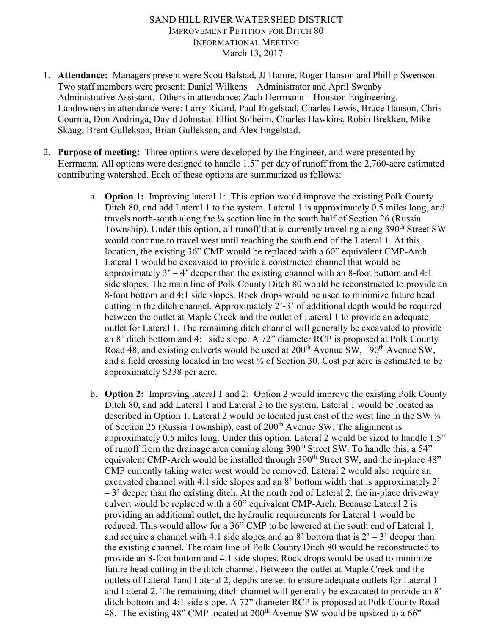## SAND HILL RIVER WATERSHED DISTRICT IMPROVEMENT PETITION FOR DITCH 80 INFORMATIONAL MEETING March 13, 2017

- 1. **Attendance:** Managers present were Scott Balstad, JJ Hamre, Roger Hanson and Phillip Swenson. Two staff members were present: Daniel Wilkens – Administrator and April Swenby – Administrative Assistant. Others in attendance: Zach Herrmann – Houston Engineering. Landowners in attendance were: Larry Ricard, Paul Engelstad, Charles Lewis, Bruce Hanson, Chris Cournia, Don Andringa, David Johnstad Elliot Solheim, Charles Hawkins, Robin Brekken, Mike Skaug, Brent Gullekson, Brian Gullekson, and Alex Engelstad.
- 2. **Purpose of meeting:** Three options were developed by the Engineer, and were presented by Herrmann. All options were designed to handle 1.5" per day of runoff from the 2,760-acre estimated contributing watershed. Each of these options are summarized as follows:
	- a. **Option 1:** Improving lateral 1: This option would improve the existing Polk County Ditch 80, and add Lateral 1 to the system. Lateral 1 is approximately 0.5 miles long, and travels north-south along the  $\frac{1}{4}$  section line in the south half of Section 26 (Russia Township). Under this option, all runoff that is currently traveling along 390<sup>th</sup> Street SW would continue to travel west until reaching the south end of the Lateral 1. At this location, the existing 36" CMP would be replaced with a 60" equivalent CMP-Arch. Lateral 1 would be excavated to provide a constructed channel that would be approximately  $3' - 4'$  deeper than the existing channel with an 8-foot bottom and 4:1 side slopes. The main line of Polk County Ditch 80 would be reconstructed to provide an 8-foot bottom and 4:1 side slopes. Rock drops would be used to minimize future head cutting in the ditch channel. Approximately 2'-3' of additional depth would be required between the outlet at Maple Creek and the outlet of Lateral 1 to provide an adequate outlet for Lateral 1. The remaining ditch channel will generally be excavated to provide an 8' ditch bottom and 4:1 side slope. A 72" diameter RCP is proposed at Polk County Road 48, and existing culverts would be used at 200<sup>th</sup> Avenue SW, 190<sup>th</sup> Avenue SW, and a field crossing located in the west  $\frac{1}{2}$  of Section 30. Cost per acre is estimated to be approximately \$338 per acre.
	- b. **Option 2:** Improving lateral 1 and 2: Option 2 would improve the existing Polk County Ditch 80, and add Lateral 1 and Lateral 2 to the system. Lateral 1 would be located as described in Option 1. Lateral 2 would be located just east of the west line in the SW  $\frac{1}{4}$ of Section 25 (Russia Township), east of  $200<sup>th</sup>$  Avenue SW. The alignment is approximately 0.5 miles long. Under this option, Lateral 2 would be sized to handle 1.5" of runoff from the drainage area coming along  $390<sup>th</sup>$  Street SW. To handle this, a 54" equivalent CMP-Arch would be installed through 390<sup>th</sup> Street SW, and the in-place 48" CMP currently taking water west would be removed. Lateral 2 would also require an excavated channel with 4:1 side slopes and an 8' bottom width that is approximately 2'  $-3$ ' deeper than the existing ditch. At the north end of Lateral 2, the in-place driveway culvert would be replaced with a 60" equivalent CMP-Arch. Because Lateral 2 is providing an additional outlet, the hydraulic requirements for Lateral 1 would be reduced. This would allow for a 36" CMP to be lowered at the south end of Lateral 1, and require a channel with 4:1 side slopes and an 8' bottom that is  $2' - 3'$  deeper than the existing channel. The main line of Polk County Ditch 80 would be reconstructed to provide an 8-foot bottom and 4:1 side slopes. Rock drops would be used to minimize future head cutting in the ditch channel. Between the outlet at Maple Creek and the outlets of Lateral 1and Lateral 2, depths are set to ensure adequate outlets for Lateral 1 and Lateral 2. The remaining ditch channel will generally be excavated to provide an 8' ditch bottom and 4:1 side slope. A 72" diameter RCP is proposed at Polk County Road 48. The existing 48" CMP located at  $200<sup>th</sup>$  Avenue SW would be upsized to a 66"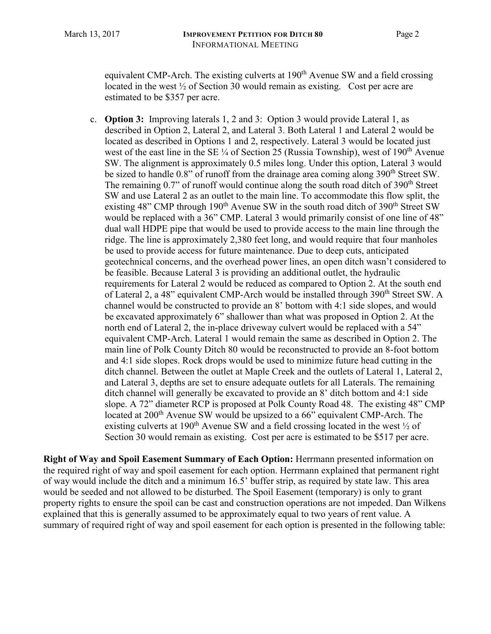equivalent CMP-Arch. The existing culverts at 190<sup>th</sup> Avenue SW and a field crossing located in the west  $\frac{1}{2}$  of Section 30 would remain as existing. Cost per acre are estimated to be \$357 per acre.

c. **Option 3:** Improving laterals 1, 2 and 3: Option 3 would provide Lateral 1, as described in Option 2, Lateral 2, and Lateral 3. Both Lateral 1 and Lateral 2 would be located as described in Options 1 and 2, respectively. Lateral 3 would be located just west of the east line in the SE  $\frac{1}{4}$  of Section 25 (Russia Township), west of 190<sup>th</sup> Avenue SW. The alignment is approximately 0.5 miles long. Under this option, Lateral 3 would be sized to handle  $0.8$ " of runoff from the drainage area coming along  $390<sup>th</sup>$  Street SW. The remaining  $0.7$ " of runoff would continue along the south road ditch of  $390<sup>th</sup>$  Street SW and use Lateral 2 as an outlet to the main line. To accommodate this flow split, the existing 48" CMP through  $190<sup>th</sup>$  Avenue SW in the south road ditch of 390<sup>th</sup> Street SW would be replaced with a 36" CMP. Lateral 3 would primarily consist of one line of 48" dual wall HDPE pipe that would be used to provide access to the main line through the ridge. The line is approximately 2,380 feet long, and would require that four manholes be used to provide access for future maintenance. Due to deep cuts, anticipated geotechnical concerns, and the overhead power lines, an open ditch wasn't considered to be feasible. Because Lateral 3 is providing an additional outlet, the hydraulic requirements for Lateral 2 would be reduced as compared to Option 2. At the south end of Lateral 2, a 48" equivalent CMP-Arch would be installed through 390<sup>th</sup> Street SW. A channel would be constructed to provide an 8' bottom with 4:1 side slopes, and would be excavated approximately 6" shallower than what was proposed in Option 2. At the north end of Lateral 2, the in-place driveway culvert would be replaced with a 54" equivalent CMP-Arch. Lateral 1 would remain the same as described in Option 2. The main line of Polk County Ditch 80 would be reconstructed to provide an 8-foot bottom and 4:1 side slopes. Rock drops would be used to minimize future head cutting in the ditch channel. Between the outlet at Maple Creek and the outlets of Lateral 1, Lateral 2, and Lateral 3, depths are set to ensure adequate outlets for all Laterals. The remaining ditch channel will generally be excavated to provide an 8' ditch bottom and 4:1 side slope. A 72" diameter RCP is proposed at Polk County Road 48. The existing 48" CMP located at  $200<sup>th</sup>$  Avenue SW would be upsized to a 66" equivalent CMP-Arch. The existing culverts at 190<sup>th</sup> Avenue SW and a field crossing located in the west  $\frac{1}{2}$  of Section 30 would remain as existing. Cost per acre is estimated to be \$517 per acre.

**Right of Way and Spoil Easement Summary of Each Option:** Herrmann presented information on the required right of way and spoil easement for each option. Herrmann explained that permanent right of way would include the ditch and a minimum 16.5' buffer strip, as required by state law. This area would be seeded and not allowed to be disturbed. The Spoil Easement (temporary) is only to grant property rights to ensure the spoil can be cast and construction operations are not impeded. Dan Wilkens explained that this is generally assumed to be approximately equal to two years of rent value. A summary of required right of way and spoil easement for each option is presented in the following table: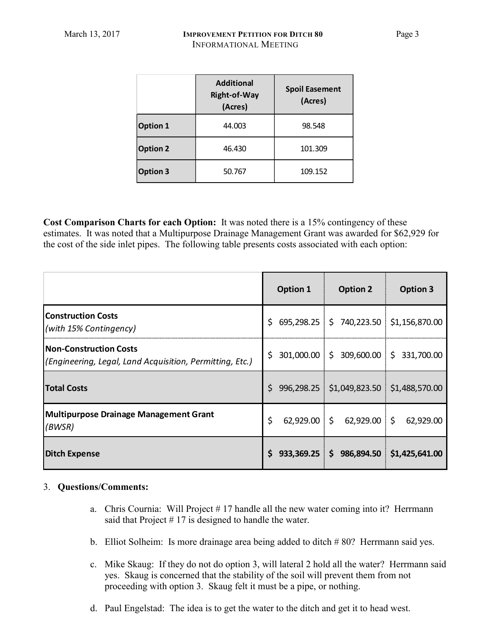|                 | <b>Additional</b><br><b>Right-of-Way</b><br>(Acres) | <b>Spoil Easement</b><br>(Acres) |  |
|-----------------|-----------------------------------------------------|----------------------------------|--|
| <b>Option 1</b> | 44.003                                              | 98.548                           |  |
| <b>Option 2</b> | 46.430                                              | 101.309                          |  |
| <b>Option 3</b> | 50.767                                              | 109.152                          |  |

**Cost Comparison Charts for each Option:** It was noted there is a 15% contingency of these estimates. It was noted that a Multipurpose Drainage Management Grant was awarded for \$62,929 for the cost of the side inlet pipes. The following table presents costs associated with each option:

|                                                                                    | <b>Option 1</b> | <b>Option 2</b>                           | <b>Option 3</b> |
|------------------------------------------------------------------------------------|-----------------|-------------------------------------------|-----------------|
| <b>Construction Costs</b><br>(with 15% Contingency)                                | \$.             | 695,298.25 \$740,223.50 \$1,156,870.00    |                 |
| Non-Construction Costs<br>(Engineering, Legal, Land Acquisition, Permitting, Etc.) | \$.             | 301,000.00 \$ 309,600.00 \$ 331,700.00    |                 |
| <b>Total Costs</b>                                                                 | Ś.              | 996,298.25 \$1,049,823.50 \$1,488,570.00  |                 |
| <b>Multipurpose Drainage Management Grant</b><br>(BWSR)                            | \$              | $62,929.00$ \$ $62,929.00$ \$ $62,929.00$ |                 |
| Ditch Expense                                                                      | Ś.              | 933,369.25 \$ 986,894.50 \$1,425,641.00   |                 |

## 3. **Questions/Comments:**

- a. Chris Cournia: Will Project # 17 handle all the new water coming into it? Herrmann said that Project  $# 17$  is designed to handle the water.
- b. Elliot Solheim: Is more drainage area being added to ditch # 80? Herrmann said yes.
- c. Mike Skaug: If they do not do option 3, will lateral 2 hold all the water? Herrmann said yes. Skaug is concerned that the stability of the soil will prevent them from not proceeding with option 3. Skaug felt it must be a pipe, or nothing.
- d. Paul Engelstad: The idea is to get the water to the ditch and get it to head west.